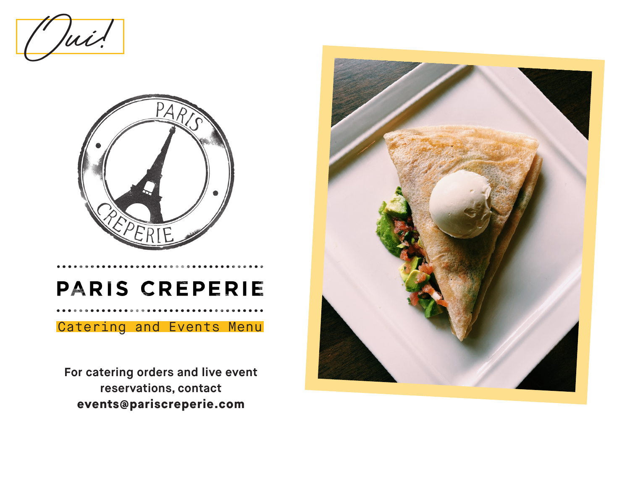$lui$ !



# PARIS CREPERIE

## Catering and Events Menu

**For catering orders and live event reservations, contact events@pariscreperie.com**

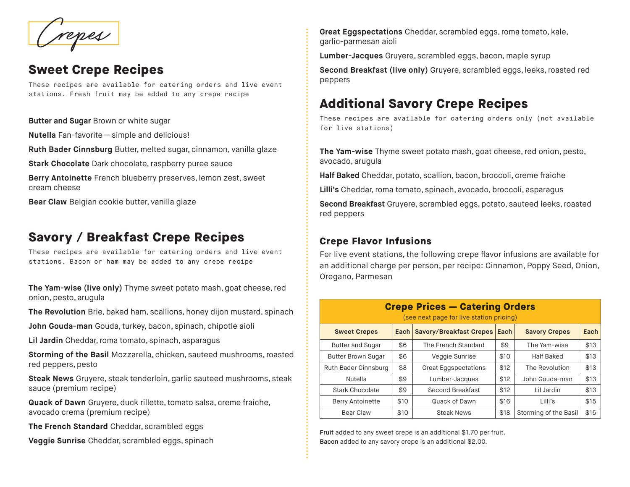## **Sweet Crepe Recipes**

These recipes are available for catering orders and live event stations. Fresh fruit may be added to any crepe recipe

**Butter and Sugar** Brown or white sugar

**Nutella** Fan-favorite — simple and delicious!

**Ruth Bader Cinnsburg** Butter, melted sugar, cinnamon, vanilla glaze

**Stark Chocolate** Dark chocolate, raspberry puree sauce

**Berry Antoinette** French blueberry preserves, lemon zest, sweet cream cheese

**Bear Claw** Belgian cookie butter, vanilla glaze

## **Savory / Breakfast Crepe Recipes**

These recipes are available for catering orders and live event stations. Bacon or ham may be added to any crepe recipe

**The Yam-wise (live only)** Thyme sweet potato mash, goat cheese, red onion, pesto, arugula

**The Revolution** Brie, baked ham, scallions, honey dijon mustard, spinach

**John Gouda-man** Gouda, turkey, bacon, spinach, chipotle aioli

**Lil Jardin** Cheddar, roma tomato, spinach, asparagus

**Storming of the Basil** Mozzarella, chicken, sauteed mushrooms, roasted red peppers, pesto

**Steak News** Gruyere, steak tenderloin, garlic sauteed mushrooms, steak sauce (premium recipe)

**Quack of Dawn** Gruyere, duck rillette, tomato salsa, creme fraiche, avocado crema (premium recipe)

**The French Standard** Cheddar, scrambled eggs

**Veggie Sunrise** Cheddar, scrambled eggs, spinach

Creat Eggspectations Cheddar, scrambled eggs, roma tomato, kale,<br>garlic-parmesan aioli<br>lumber-lacques Gruvere scrambled eggs, bacon, maple syrup garlic-parmesan aioli

**Lumber-Jacques** Gruyere, scrambled eggs, bacon, maple syrup

**Second Breakfast (live only)** Gruyere, scrambled eggs, leeks, roasted red peppers

## **Additional Savory Crepe Recipes**

These recipes are available for catering orders only (not available for live stations)

**The Yam-wise** Thyme sweet potato mash, goat cheese, red onion, pesto, avocado, arugula

**Half Baked** Cheddar, potato, scallion, bacon, broccoli, creme fraiche

**Lilli's** Cheddar, roma tomato, spinach, avocado, broccoli, asparagus

**Second Breakfast** Gruyere, scrambled eggs, potato, sauteed leeks, roasted red peppers

## **Crepe Flavor Infusions**

For live event stations, the following crepe flavor infusions are available for an additional charge per person, per recipe: Cinnamon, Poppy Seed, Onion, Oregano, Parmesan

| <b>Crepe Prices - Catering Orders</b><br>(see next page for live station pricing) |      |                                |      |                       |      |
|-----------------------------------------------------------------------------------|------|--------------------------------|------|-----------------------|------|
| <b>Sweet Crepes</b>                                                               | Each | <b>Savory/Breakfast Crepes</b> | Each | <b>Savory Crepes</b>  | Each |
| <b>Butter and Sugar</b>                                                           | \$6  | The French Standard            | \$9  | The Yam-wise          | \$13 |
| <b>Butter Brown Sugar</b>                                                         | \$6  | Veggie Sunrise                 | \$10 | <b>Half Baked</b>     | \$13 |
| Ruth Bader Cinnsburg                                                              | \$8  | <b>Great Eggspectations</b>    | \$12 | The Revolution        | \$13 |
| Nutella                                                                           | \$9  | Lumber-Jacques                 | \$12 | John Gouda-man        | \$13 |
| Stark Chocolate                                                                   | \$9  | Second Breakfast               | \$12 | Lil Jardin            | \$13 |
| <b>Berry Antoinette</b>                                                           | \$10 | Quack of Dawn                  | \$16 | Lilli's               | \$15 |
| Bear Claw                                                                         | \$10 | <b>Steak News</b>              | \$18 | Storming of the Basil | \$15 |

Fruit added to any sweet crepe is an additional \$1.70 per fruit. Bacon added to any savory crepe is an additional \$2.00.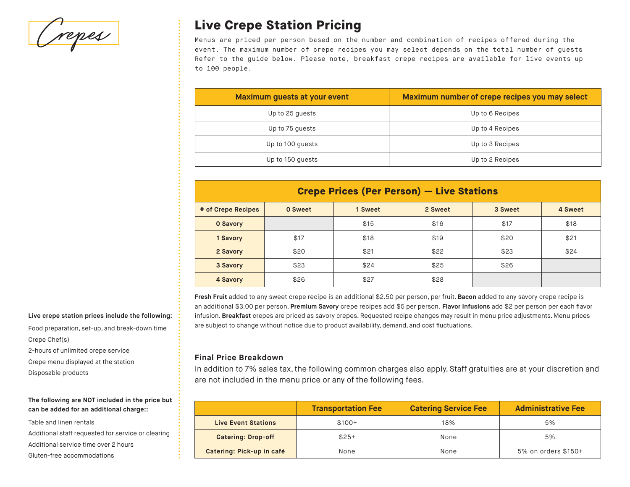Crepes

## **Live Crepe Station Pricing**

Menus are priced per person based on the number and combination of recipes offered during the event. The maximum number of crepe recipes you may select depends on the total number of guests Refer to the guide below. Please note, breakfast crepe recipes are available for live events up to 100 people.

| Maximum guests at your event | Maximum number of crepe recipes you may select |
|------------------------------|------------------------------------------------|
| Up to 25 quests              | Up to 6 Recipes                                |
| Up to 75 quests              | Up to 4 Recipes                                |
| Up to 100 guests             | Up to 3 Recipes                                |
| Up to 150 guests             | Up to 2 Recipes                                |

| <b>Crepe Prices (Per Person) – Live Stations</b> |                                                     |      |      |      |      |  |  |
|--------------------------------------------------|-----------------------------------------------------|------|------|------|------|--|--|
| # of Crepe Recipes                               | 2 Sweet<br>0 Sweet<br>1 Sweet<br>3 Sweet<br>4 Sweet |      |      |      |      |  |  |
| 0 Savory                                         |                                                     | \$15 | \$16 | \$17 | \$18 |  |  |
| 1 Savory                                         | \$17                                                | \$18 | \$19 | \$20 | \$21 |  |  |
| 2 Savory                                         | \$20                                                | \$21 | \$22 | \$23 | \$24 |  |  |
| 3 Savory                                         | \$23                                                | \$24 | \$25 | \$26 |      |  |  |
| 4 Savory                                         | \$26                                                | \$27 | \$28 |      |      |  |  |

**Fresh Fruit** added to any sweet crepe recipe is an additional \$2.50 per person, per fruit. **Bacon** added to any savory crepe recipe is an additional \$3.00 per person. **Premium Savory** crepe recipes add \$5 per person. **Flavor Infusions** add \$2 per person per each flavor infusion. **Breakfast** crepes are priced as savory crepes. Requested recipe changes may result in menu price adjustments. Menu prices are subject to change without notice due to product availability, demand, and cost fluctuations.

### **Final Price Breakdown**

In addition to 7% sales tax, the following common charges also apply. Staff gratuities are at your discretion and are not included in the menu price or any of the following fees.

|                            | <b>Transportation Fee</b> | <b>Catering Service Fee</b> | <b>Administrative Fee</b> |
|----------------------------|---------------------------|-----------------------------|---------------------------|
| <b>Live Event Stations</b> | $$100+$                   | 18%                         | 5%                        |
| <b>Catering: Drop-off</b>  | $$25+$                    | None                        | 5%                        |
| Catering: Pick-up in café  | None                      | None                        | 5% on orders \$150+       |

#### **Live crepe station prices include the following:**

Food preparation, set-up, and break-down time Crepe Chef(s)

2-hours of unlimited crepe service

Crepe menu displayed at the station

Disposable products

#### **The following are NOT included in the price but can be added for an additional charge::**

Table and linen rentals Additional staff requested for service or clearing Additional service time over 2 hours Gluten-free accommodations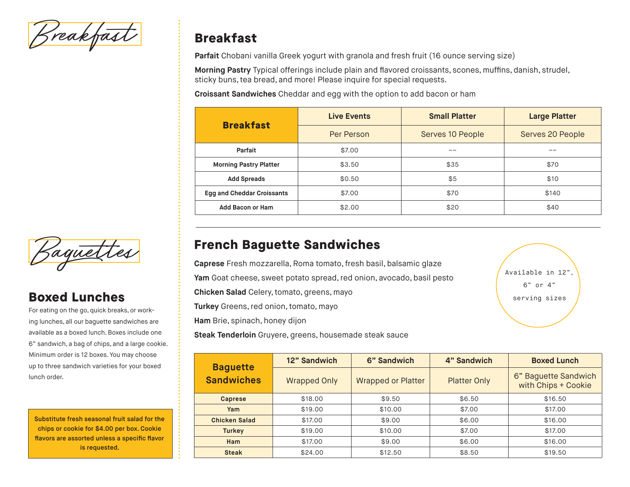Sreakfas

## **Breakfast**

**Parfait** Chobani vanilla Greek yogurt with granola and fresh fruit (16 ounce serving size)

**Morning Pastry** Typical offerings include plain and flavored croissants, scones, muffins, danish, strudel, sticky buns, tea bread, and more! Please inquire for special requests.

**Croissant Sandwiches** Cheddar and egg with the option to add bacon or ham

| <b>Breakfast</b>                  | <b>Live Events</b> | <b>Small Platter</b> | <b>Large Platter</b> |  |
|-----------------------------------|--------------------|----------------------|----------------------|--|
|                                   | Per Person         | Serves 10 People     | Serves 20 People     |  |
| Parfait<br>\$7.00                 |                    |                      | --                   |  |
| <b>Morning Pastry Platter</b>     | \$3.50             | \$35                 | \$70                 |  |
| <b>Add Spreads</b>                | \$0.50             | \$5                  | \$10                 |  |
| <b>Egg and Cheddar Croissants</b> | \$7.00             | \$70                 | \$140                |  |
| Add Bacon or Ham                  | \$2.00             | \$20                 | \$40                 |  |

## **French Baguette Sandwiches**

**Caprese** Fresh mozzarella, Roma tomato, fresh basil, balsamic glaze

**Yam** Goat cheese, sweet potato spread, red onion, avocado, basil pesto

**Chicken Salad** Celery, tomato, greens, mayo

**Turkey** Greens, red onion, tomato, mayo

**Ham** Brie, spinach, honey dijon

**Steak Tenderloin** Gruyere, greens, housemade steak sauce



| <b>Baguette</b>      | 12" Sandwich        | 6" Sandwich               | 4" Sandwich         | <b>Boxed Lunch</b>                          |
|----------------------|---------------------|---------------------------|---------------------|---------------------------------------------|
| <b>Sandwiches</b>    | <b>Wrapped Only</b> | <b>Wrapped or Platter</b> | <b>Platter Only</b> | 6" Baguette Sandwich<br>with Chips + Cookie |
| <b>Caprese</b>       | \$18.00             | \$9.50                    | \$6.50              | \$16.50                                     |
| Yam                  | \$19.00             | \$10.00                   | \$7.00              | \$17.00                                     |
| <b>Chicken Salad</b> | \$17.00             | \$9.00                    | \$6.00              | \$16.00                                     |
| <b>Turkey</b>        | \$19.00             | \$10.00                   | \$7.00              | \$17.00                                     |
| Ham                  | \$17.00             | \$9.00                    | \$6.00              | \$16,00                                     |
| <b>Steak</b>         | \$24.00             | \$12.50                   | \$8.50              | \$19.50                                     |



## **Boxed Lunches**

For eating on the go, quick breaks, or working lunches, all our baguette sandwiches are available as a boxed lunch. Boxes include one 6" sandwich, a bag of chips, and a large cookie. Minimum order is 12 boxes. You may choose up to three sandwich varieties for your boxed lunch order.

Substitute fresh seasonal fruit salad for the chips or cookie for \$4.00 per box. Cookie flavors are assorted unless a specific flavor is requested.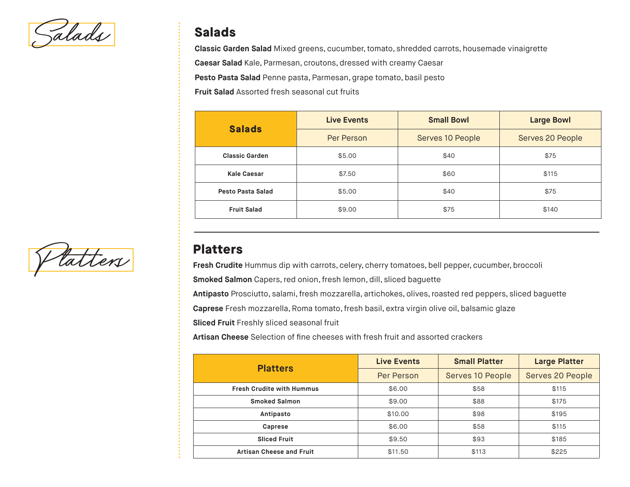Salads **Salads**

**Classic Garden Salad** Mixed greens, cucumber, tomato, shredded carrots, housemade vinaigrette

**Caesar Salad** Kale, Parmesan, croutons, dressed with creamy Caesar

**Pesto Pasta Salad** Penne pasta, Parmesan, grape tomato, basil pesto

**Fruit Salad** Assorted fresh seasonal cut fruits

| <b>Salads</b>         | <b>Live Events</b> | <b>Small Bowl</b> | <b>Large Bowl</b> |  |
|-----------------------|--------------------|-------------------|-------------------|--|
|                       | Per Person         | Serves 10 People  | Serves 20 People  |  |
| <b>Classic Garden</b> | \$5.00<br>\$40     |                   | \$75              |  |
| Kale Caesar           | \$7.50             | \$60              | \$115             |  |
| Pesto Pasta Salad     | \$5.00             | \$40              | \$75              |  |
| <b>Fruit Salad</b>    | \$9.00             | \$75              | \$140             |  |

**Platters Platters** 

**Fresh Crudite** Hummus dip with carrots, celery, cherry tomatoes, bell pepper, cucumber, broccoli

**Smoked Salmon** Capers, red onion, fresh lemon, dill, sliced baguette

**Antipasto** Prosciutto, salami, fresh mozzarella, artichokes, olives, roasted red peppers, sliced baguette

**Caprese** Fresh mozzarella, Roma tomato, fresh basil, extra virgin olive oil, balsamic glaze

**Sliced Fruit** Freshly sliced seasonal fruit

**Artisan Cheese** Selection of fine cheeses with fresh fruit and assorted crackers

| <b>Platters</b>                  | <b>Live Events</b> | <b>Small Platter</b> | <b>Large Platter</b> |
|----------------------------------|--------------------|----------------------|----------------------|
|                                  | Per Person         | Serves 10 People     | Serves 20 People     |
| <b>Fresh Crudite with Hummus</b> | \$6.00             | \$58                 | \$115                |
| <b>Smoked Salmon</b>             | \$9.00             | \$88                 | \$175                |
| Antipasto                        | \$10.00            | \$98                 | \$195                |
| Caprese                          | \$6.00             | \$58                 | \$115                |
| <b>Sliced Fruit</b>              | \$9.50             | \$93                 | \$185                |
| <b>Artisan Cheese and Fruit</b>  | \$11.50            | \$113                | \$225                |